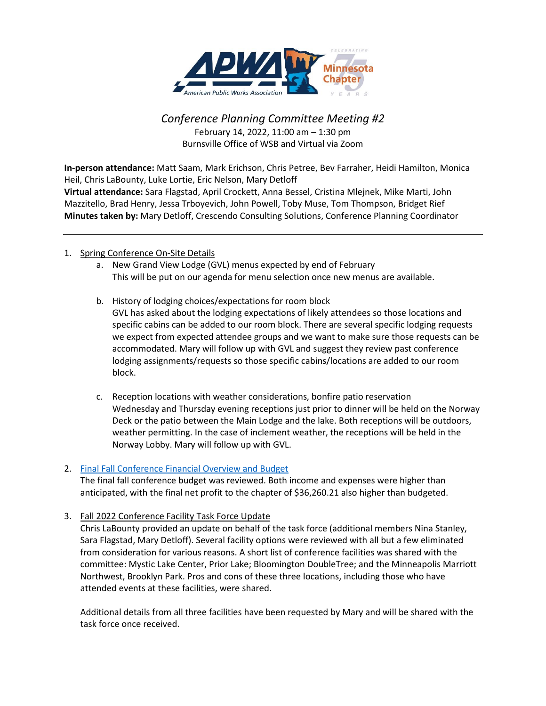

# *Conference Planning Committee Meeting #2*

February 14, 2022, 11:00 am – 1:30 pm Burnsville Office of WSB and Virtual via Zoom

**In-person attendance:** Matt Saam, Mark Erichson, Chris Petree, Bev Farraher, Heidi Hamilton, Monica Heil, Chris LaBounty, Luke Lortie, Eric Nelson, Mary Detloff **Virtual attendance:** Sara Flagstad, April Crockett, Anna Bessel, Cristina Mlejnek, Mike Marti, John Mazzitello, Brad Henry, Jessa Trboyevich, John Powell, Toby Muse, Tom Thompson, Bridget Rief **Minutes taken by:** Mary Detloff, Crescendo Consulting Solutions, Conference Planning Coordinator

## 1. Spring Conference On-Site Details

- a. New Grand View Lodge (GVL) menus expected by end of February This will be put on our agenda for menu selection once new menus are available.
- b. History of lodging choices/expectations for room block GVL has asked about the lodging expectations of likely attendees so those locations and specific cabins can be added to our room block. There are several specific lodging requests we expect from expected attendee groups and we want to make sure those requests can be accommodated. Mary will follow up with GVL and suggest they review past conference lodging assignments/requests so those specific cabins/locations are added to our room block.
- c. Reception locations with weather considerations, bonfire patio reservation Wednesday and Thursday evening receptions just prior to dinner will be held on the Norway Deck or the patio between the Main Lodge and the lake. Both receptions will be outdoors, weather permitting. In the case of inclement weather, the receptions will be held in the Norway Lobby. Mary will follow up with GVL.

## 2. [Final Fall Conference Financial Overview and Budget](https://1drv.ms/x/s!ArvesV_Xvo95nwYrAqcF6L5YZsU6?e=6oG9y4)

The final fall conference budget was reviewed. Both income and expenses were higher than anticipated, with the final net profit to the chapter of \$36,260.21 also higher than budgeted.

3. Fall 2022 Conference Facility Task Force Update

Chris LaBounty provided an update on behalf of the task force (additional members Nina Stanley, Sara Flagstad, Mary Detloff). Several facility options were reviewed with all but a few eliminated from consideration for various reasons. A short list of conference facilities was shared with the committee: Mystic Lake Center, Prior Lake; Bloomington DoubleTree; and the Minneapolis Marriott Northwest, Brooklyn Park. Pros and cons of these three locations, including those who have attended events at these facilities, were shared.

Additional details from all three facilities have been requested by Mary and will be shared with the task force once received.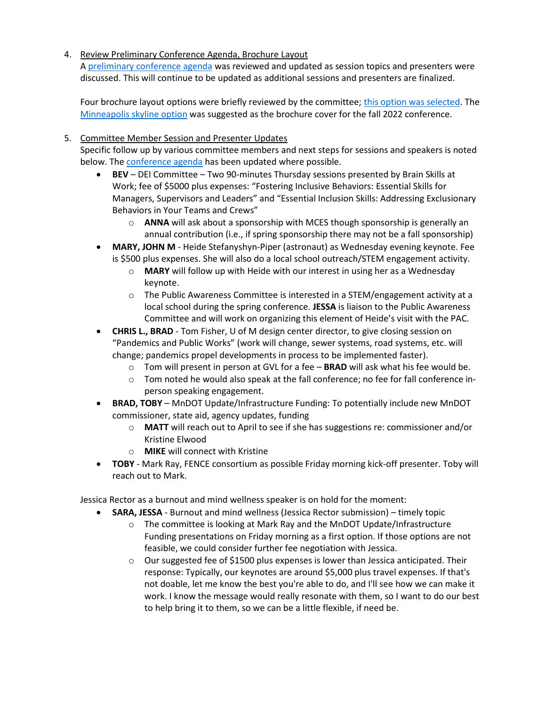## 4. Review Preliminary Conference Agenda, Brochure Layout

A [preliminary conference agenda](https://1drv.ms/w/s!ArvesV_Xvo95p2bJuwpGsmpT-rf1?e=hDdKmC) was reviewed and updated as session topics and presenters were discussed. This will continue to be updated as additional sessions and presenters are finalized.

Four brochure layout options were briefly reviewed by the committee; [this option was selected.](https://1drv.ms/b/s!ArvesV_Xvo95qBKhLdz7AgU0YNtd?e=MzKWTb) The [Minneapolis skyline option](https://1drv.ms/b/s!ArvesV_Xvo95qBN1BuYXt6N8Lojf?e=wxnPwf) was suggested as the brochure cover for the fall 2022 conference.

### 5. Committee Member Session and Presenter Updates

Specific follow up by various committee members and next steps for sessions and speakers is noted below. The [conference agenda](https://1drv.ms/w/s!ArvesV_Xvo95p2bJuwpGsmpT-rf1?e=hDdKmC) has been updated where possible.

- **BEV** DEI Committee Two 90-minutes Thursday sessions presented by Brain Skills at Work; fee of \$5000 plus expenses: "Fostering Inclusive Behaviors: Essential Skills for Managers, Supervisors and Leaders" and "Essential Inclusion Skills: Addressing Exclusionary Behaviors in Your Teams and Crews"
	- o **ANNA** will ask about a sponsorship with MCES though sponsorship is generally an annual contribution (i.e., if spring sponsorship there may not be a fall sponsorship)
- **MARY, JOHN M** Heide Stefanyshyn-Piper (astronaut) as Wednesday evening keynote. Fee is \$500 plus expenses. She will also do a local school outreach/STEM engagement activity.
	- o **MARY** will follow up with Heide with our interest in using her as a Wednesday keynote.
	- $\circ$  The Public Awareness Committee is interested in a STEM/engagement activity at a local school during the spring conference. **JESSA** is liaison to the Public Awareness Committee and will work on organizing this element of Heide's visit with the PAC.
- **CHRIS L., BRAD** Tom Fisher, U of M design center director, to give closing session on "Pandemics and Public Works" (work will change, sewer systems, road systems, etc. will change; pandemics propel developments in process to be implemented faster).
	- o Tom will present in person at GVL for a fee **BRAD** will ask what his fee would be.
	- $\circ$  Tom noted he would also speak at the fall conference; no fee for fall conference inperson speaking engagement.
- **BRAD, TOBY** MnDOT Update/Infrastructure Funding: To potentially include new MnDOT commissioner, state aid, agency updates, funding
	- o **MATT** will reach out to April to see if she has suggestions re: commissioner and/or Kristine Elwood
	- o **MIKE** will connect with Kristine
- **TOBY** Mark Ray, FENCE consortium as possible Friday morning kick-off presenter. Toby will reach out to Mark.

Jessica Rector as a burnout and mind wellness speaker is on hold for the moment:

- **SARA, JESSA** Burnout and mind wellness (Jessica Rector submission) timely topic
	- o The committee is looking at Mark Ray and the MnDOT Update/Infrastructure Funding presentations on Friday morning as a first option. If those options are not feasible, we could consider further fee negotiation with Jessica.
	- $\circ$  Our suggested fee of \$1500 plus expenses is lower than Jessica anticipated. Their response: Typically, our keynotes are around \$5,000 plus travel expenses. If that's not doable, let me know the best you're able to do, and I'll see how we can make it work. I know the message would really resonate with them, so I want to do our best to help bring it to them, so we can be a little flexible, if need be.